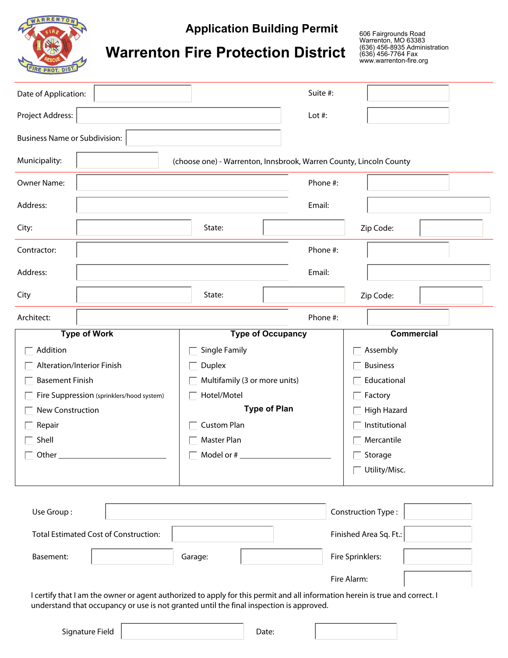

**Application Building Permit**

606 Fairgrounds Road Warrenton, MO 63383 (636) 456-8935 Administration www.warrenton-fire.org

## **Warrenton Fire Protection District**

| Date of Application:                                                   |                      |                                                                    | Suite #:                 |                  |                   |  |  |  |
|------------------------------------------------------------------------|----------------------|--------------------------------------------------------------------|--------------------------|------------------|-------------------|--|--|--|
| Project Address:                                                       |                      |                                                                    | Lot #:                   |                  |                   |  |  |  |
| <b>Business Name or Subdivision:</b>                                   |                      |                                                                    |                          |                  |                   |  |  |  |
| Municipality:                                                          | $\blacktriangledown$ | (choose one) - Warrenton, Innsbrook, Warren County, Lincoln County |                          |                  |                   |  |  |  |
| Owner Name:                                                            |                      |                                                                    | Phone #:                 |                  |                   |  |  |  |
| Address:                                                               |                      |                                                                    | Email:                   |                  |                   |  |  |  |
| City:                                                                  |                      | State:                                                             |                          | Zip Code:        |                   |  |  |  |
| Contractor:                                                            |                      |                                                                    | Phone #:                 |                  |                   |  |  |  |
| Address:                                                               |                      |                                                                    | Email:                   |                  |                   |  |  |  |
| City                                                                   |                      | State:                                                             |                          | Zip Code:        |                   |  |  |  |
| Architect:                                                             |                      | Phone #:                                                           |                          |                  |                   |  |  |  |
|                                                                        | <b>Type of Work</b>  |                                                                    | <b>Type of Occupancy</b> |                  | <b>Commercial</b> |  |  |  |
| Addition                                                               |                      | Single Family                                                      |                          |                  | Assembly          |  |  |  |
| Alteration/Interior Finish                                             |                      | Duplex                                                             |                          |                  | <b>Business</b>   |  |  |  |
| <b>Basement Finish</b>                                                 |                      | Multifamily (3 or more units)                                      |                          |                  | Educational       |  |  |  |
| Fire Suppression (sprinklers/hood system)                              |                      | Hotel/Motel                                                        |                          | Factory          |                   |  |  |  |
| New Construction                                                       |                      | <b>Type of Plan</b>                                                |                          |                  | High Hazard       |  |  |  |
| Repair                                                                 |                      | <b>Custom Plan</b>                                                 |                          |                  | Institutional     |  |  |  |
| Shell                                                                  |                      | Master Plan                                                        |                          |                  | Mercantile        |  |  |  |
| Other                                                                  |                      | Model or #                                                         |                          |                  | Storage           |  |  |  |
|                                                                        |                      |                                                                    |                          |                  | Utility/Misc.     |  |  |  |
|                                                                        |                      |                                                                    |                          |                  |                   |  |  |  |
| Construction Type:<br>Use Group:<br>$\mathbf{r}$                       |                      |                                                                    |                          |                  |                   |  |  |  |
| Finished Area Sq. Ft.:<br><b>Total Estimated Cost of Construction:</b> |                      |                                                                    |                          |                  |                   |  |  |  |
| Basement:<br>Garage:                                                   |                      |                                                                    | $\blacktriangledown$     | Fire Sprinklers: |                   |  |  |  |
|                                                                        |                      |                                                                    |                          | Fire Alarm:      |                   |  |  |  |

I certify that I am the owner or agent authorized to apply for this permit and all information herein is true and correct. I understand that occupancy or use is not granted until the final inspection is approved.

| Signature Field | Date: |
|-----------------|-------|
|                 |       |